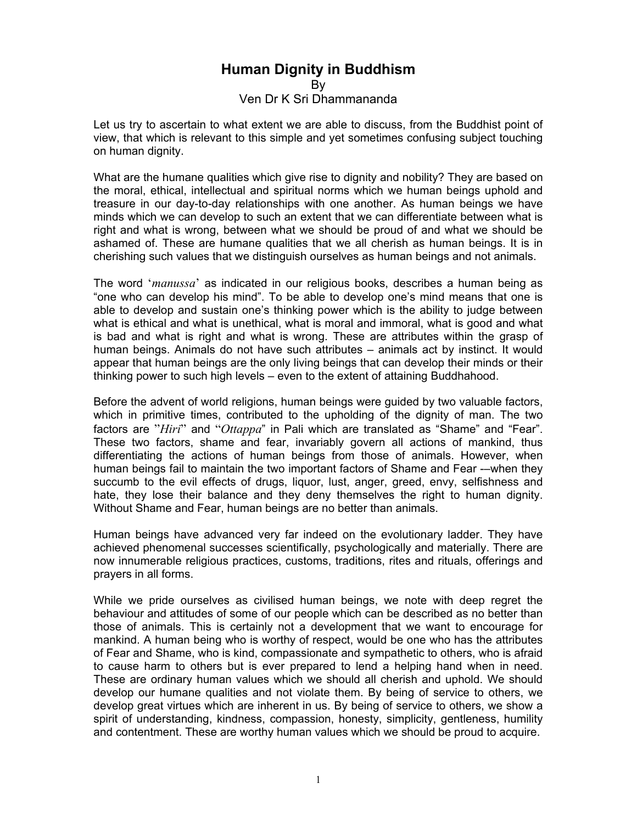## **Human Dignity in Buddhism**

By

Ven Dr K Sri Dhammananda

Let us try to ascertain to what extent we are able to discuss, from the Buddhist point of view, that which is relevant to this simple and yet sometimes confusing subject touching on human dignity.

What are the humane qualities which give rise to dignity and nobility? They are based on the moral, ethical, intellectual and spiritual norms which we human beings uphold and treasure in our day-to-day relationships with one another. As human beings we have minds which we can develop to such an extent that we can differentiate between what is right and what is wrong, between what we should be proud of and what we should be ashamed of. These are humane qualities that we all cherish as human beings. It is in cherishing such values that we distinguish ourselves as human beings and not animals.

The word '*manussa*' as indicated in our religious books, describes a human being as "one who can develop his mind". To be able to develop one's mind means that one is able to develop and sustain one's thinking power which is the ability to judge between what is ethical and what is unethical, what is moral and immoral, what is good and what is bad and what is right and what is wrong. These are attributes within the grasp of human beings. Animals do not have such attributes – animals act by instinct. It would appear that human beings are the only living beings that can develop their minds or their thinking power to such high levels – even to the extent of attaining Buddhahood.

Before the advent of world religions, human beings were guided by two valuable factors, which in primitive times, contributed to the upholding of the dignity of man. The two factors are "*Hiri*" and "*Ottappa*" in Pali which are translated as "Shame" and "Fear". These two factors, shame and fear, invariably govern all actions of mankind, thus differentiating the actions of human beings from those of animals. However, when human beings fail to maintain the two important factors of Shame and Fear -–when they succumb to the evil effects of drugs, liquor, lust, anger, greed, envy, selfishness and hate, they lose their balance and they deny themselves the right to human dignity. Without Shame and Fear, human beings are no better than animals.

Human beings have advanced very far indeed on the evolutionary ladder. They have achieved phenomenal successes scientifically, psychologically and materially. There are now innumerable religious practices, customs, traditions, rites and rituals, offerings and prayers in all forms.

While we pride ourselves as civilised human beings, we note with deep regret the behaviour and attitudes of some of our people which can be described as no better than those of animals. This is certainly not a development that we want to encourage for mankind. A human being who is worthy of respect, would be one who has the attributes of Fear and Shame, who is kind, compassionate and sympathetic to others, who is afraid to cause harm to others but is ever prepared to lend a helping hand when in need. These are ordinary human values which we should all cherish and uphold. We should develop our humane qualities and not violate them. By being of service to others, we develop great virtues which are inherent in us. By being of service to others, we show a spirit of understanding, kindness, compassion, honesty, simplicity, gentleness, humility and contentment. These are worthy human values which we should be proud to acquire.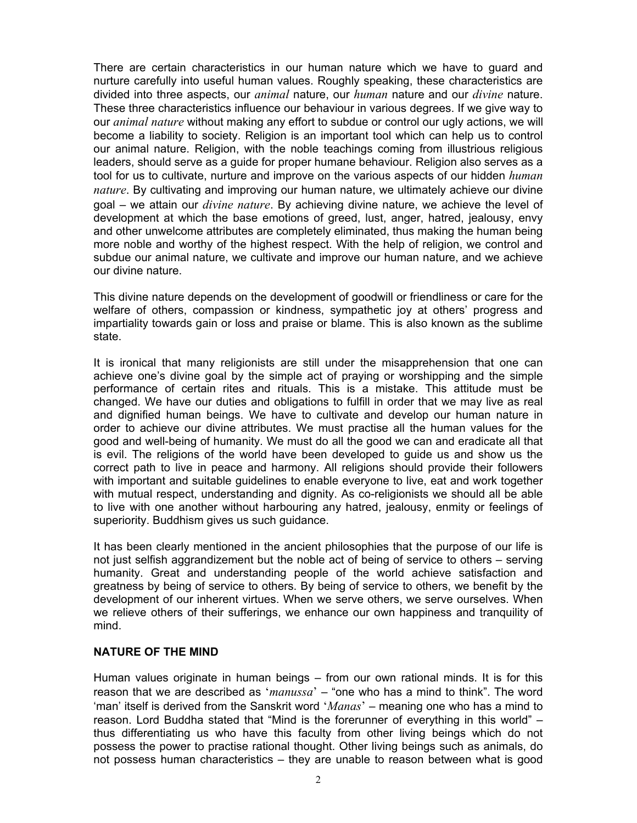There are certain characteristics in our human nature which we have to guard and nurture carefully into useful human values. Roughly speaking, these characteristics are divided into three aspects, our *animal* nature, our *human* nature and our *divine* nature. These three characteristics influence our behaviour in various degrees. If we give way to our *animal nature* without making any effort to subdue or control our ugly actions, we will become a liability to society. Religion is an important tool which can help us to control our animal nature. Religion, with the noble teachings coming from illustrious religious leaders, should serve as a guide for proper humane behaviour. Religion also serves as a tool for us to cultivate, nurture and improve on the various aspects of our hidden *human nature*. By cultivating and improving our human nature, we ultimately achieve our divine goal – we attain our *divine nature*. By achieving divine nature, we achieve the level of development at which the base emotions of greed, lust, anger, hatred, jealousy, envy and other unwelcome attributes are completely eliminated, thus making the human being more noble and worthy of the highest respect. With the help of religion, we control and subdue our animal nature, we cultivate and improve our human nature, and we achieve our divine nature.

This divine nature depends on the development of goodwill or friendliness or care for the welfare of others, compassion or kindness, sympathetic joy at others' progress and impartiality towards gain or loss and praise or blame. This is also known as the sublime state.

It is ironical that many religionists are still under the misapprehension that one can achieve one's divine goal by the simple act of praying or worshipping and the simple performance of certain rites and rituals. This is a mistake. This attitude must be changed. We have our duties and obligations to fulfill in order that we may live as real and dignified human beings. We have to cultivate and develop our human nature in order to achieve our divine attributes. We must practise all the human values for the good and well-being of humanity. We must do all the good we can and eradicate all that is evil. The religions of the world have been developed to guide us and show us the correct path to live in peace and harmony. All religions should provide their followers with important and suitable guidelines to enable everyone to live, eat and work together with mutual respect, understanding and dignity. As co-religionists we should all be able to live with one another without harbouring any hatred, jealousy, enmity or feelings of superiority. Buddhism gives us such guidance.

It has been clearly mentioned in the ancient philosophies that the purpose of our life is not just selfish aggrandizement but the noble act of being of service to others – serving humanity. Great and understanding people of the world achieve satisfaction and greatness by being of service to others. By being of service to others, we benefit by the development of our inherent virtues. When we serve others, we serve ourselves. When we relieve others of their sufferings, we enhance our own happiness and tranquility of mind.

## **NATURE OF THE MIND**

Human values originate in human beings – from our own rational minds. It is for this reason that we are described as '*manussa*' – "one who has a mind to think". The word 'man' itself is derived from the Sanskrit word '*Manas*' – meaning one who has a mind to reason. Lord Buddha stated that "Mind is the forerunner of everything in this world" – thus differentiating us who have this faculty from other living beings which do not possess the power to practise rational thought. Other living beings such as animals, do not possess human characteristics – they are unable to reason between what is good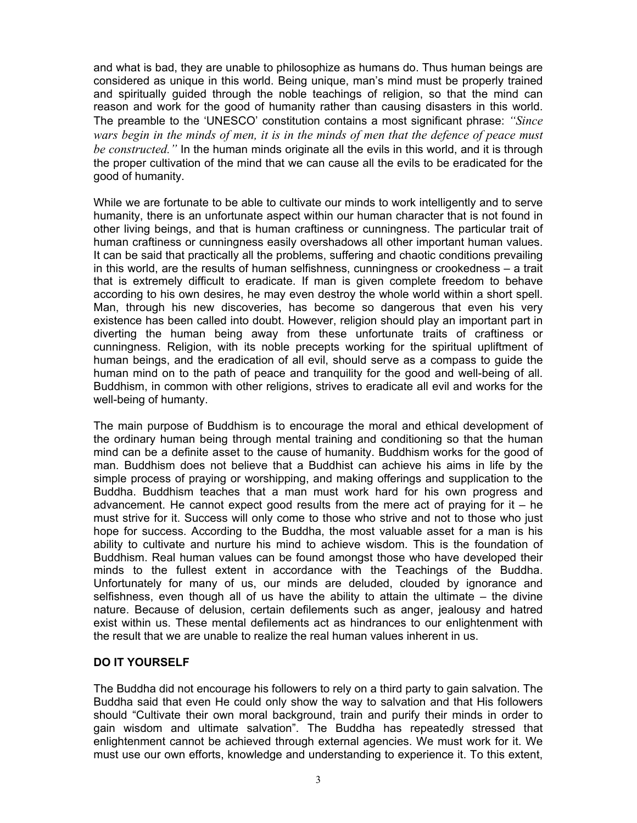and what is bad, they are unable to philosophize as humans do. Thus human beings are considered as unique in this world. Being unique, man's mind must be properly trained and spiritually guided through the noble teachings of religion, so that the mind can reason and work for the good of humanity rather than causing disasters in this world. The preamble to the 'UNESCO' constitution contains a most significant phrase: *"Since wars begin in the minds of men, it is in the minds of men that the defence of peace must be constructed."* In the human minds originate all the evils in this world, and it is through the proper cultivation of the mind that we can cause all the evils to be eradicated for the good of humanity.

While we are fortunate to be able to cultivate our minds to work intelligently and to serve humanity, there is an unfortunate aspect within our human character that is not found in other living beings, and that is human craftiness or cunningness. The particular trait of human craftiness or cunningness easily overshadows all other important human values. It can be said that practically all the problems, suffering and chaotic conditions prevailing in this world, are the results of human selfishness, cunningness or crookedness – a trait that is extremely difficult to eradicate. If man is given complete freedom to behave according to his own desires, he may even destroy the whole world within a short spell. Man, through his new discoveries, has become so dangerous that even his very existence has been called into doubt. However, religion should play an important part in diverting the human being away from these unfortunate traits of craftiness or cunningness. Religion, with its noble precepts working for the spiritual upliftment of human beings, and the eradication of all evil, should serve as a compass to guide the human mind on to the path of peace and tranquility for the good and well-being of all. Buddhism, in common with other religions, strives to eradicate all evil and works for the well-being of humanty.

The main purpose of Buddhism is to encourage the moral and ethical development of the ordinary human being through mental training and conditioning so that the human mind can be a definite asset to the cause of humanity. Buddhism works for the good of man. Buddhism does not believe that a Buddhist can achieve his aims in life by the simple process of praying or worshipping, and making offerings and supplication to the Buddha. Buddhism teaches that a man must work hard for his own progress and advancement. He cannot expect good results from the mere act of praying for it – he must strive for it. Success will only come to those who strive and not to those who just hope for success. According to the Buddha, the most valuable asset for a man is his ability to cultivate and nurture his mind to achieve wisdom. This is the foundation of Buddhism. Real human values can be found amongst those who have developed their minds to the fullest extent in accordance with the Teachings of the Buddha. Unfortunately for many of us, our minds are deluded, clouded by ignorance and selfishness, even though all of us have the ability to attain the ultimate – the divine nature. Because of delusion, certain defilements such as anger, jealousy and hatred exist within us. These mental defilements act as hindrances to our enlightenment with the result that we are unable to realize the real human values inherent in us.

## **DO IT YOURSELF**

The Buddha did not encourage his followers to rely on a third party to gain salvation. The Buddha said that even He could only show the way to salvation and that His followers should "Cultivate their own moral background, train and purify their minds in order to gain wisdom and ultimate salvation". The Buddha has repeatedly stressed that enlightenment cannot be achieved through external agencies. We must work for it. We must use our own efforts, knowledge and understanding to experience it. To this extent,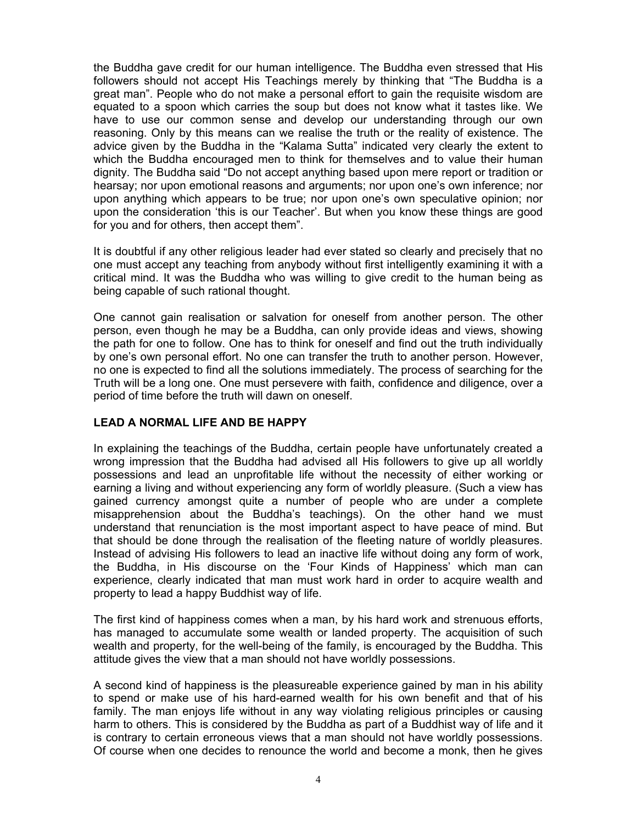the Buddha gave credit for our human intelligence. The Buddha even stressed that His followers should not accept His Teachings merely by thinking that "The Buddha is a great man". People who do not make a personal effort to gain the requisite wisdom are equated to a spoon which carries the soup but does not know what it tastes like. We have to use our common sense and develop our understanding through our own reasoning. Only by this means can we realise the truth or the reality of existence. The advice given by the Buddha in the "Kalama Sutta" indicated very clearly the extent to which the Buddha encouraged men to think for themselves and to value their human dignity. The Buddha said "Do not accept anything based upon mere report or tradition or hearsay; nor upon emotional reasons and arguments; nor upon one's own inference; nor upon anything which appears to be true; nor upon one's own speculative opinion; nor upon the consideration 'this is our Teacher'. But when you know these things are good for you and for others, then accept them".

It is doubtful if any other religious leader had ever stated so clearly and precisely that no one must accept any teaching from anybody without first intelligently examining it with a critical mind. It was the Buddha who was willing to give credit to the human being as being capable of such rational thought.

One cannot gain realisation or salvation for oneself from another person. The other person, even though he may be a Buddha, can only provide ideas and views, showing the path for one to follow. One has to think for oneself and find out the truth individually by one's own personal effort. No one can transfer the truth to another person. However, no one is expected to find all the solutions immediately. The process of searching for the Truth will be a long one. One must persevere with faith, confidence and diligence, over a period of time before the truth will dawn on oneself.

## **LEAD A NORMAL LIFE AND BE HAPPY**

In explaining the teachings of the Buddha, certain people have unfortunately created a wrong impression that the Buddha had advised all His followers to give up all worldly possessions and lead an unprofitable life without the necessity of either working or earning a living and without experiencing any form of worldly pleasure. (Such a view has gained currency amongst quite a number of people who are under a complete misapprehension about the Buddha's teachings). On the other hand we must understand that renunciation is the most important aspect to have peace of mind. But that should be done through the realisation of the fleeting nature of worldly pleasures. Instead of advising His followers to lead an inactive life without doing any form of work, the Buddha, in His discourse on the 'Four Kinds of Happiness' which man can experience, clearly indicated that man must work hard in order to acquire wealth and property to lead a happy Buddhist way of life.

The first kind of happiness comes when a man, by his hard work and strenuous efforts, has managed to accumulate some wealth or landed property. The acquisition of such wealth and property, for the well-being of the family, is encouraged by the Buddha. This attitude gives the view that a man should not have worldly possessions.

A second kind of happiness is the pleasureable experience gained by man in his ability to spend or make use of his hard-earned wealth for his own benefit and that of his family. The man enjoys life without in any way violating religious principles or causing harm to others. This is considered by the Buddha as part of a Buddhist way of life and it is contrary to certain erroneous views that a man should not have worldly possessions. Of course when one decides to renounce the world and become a monk, then he gives